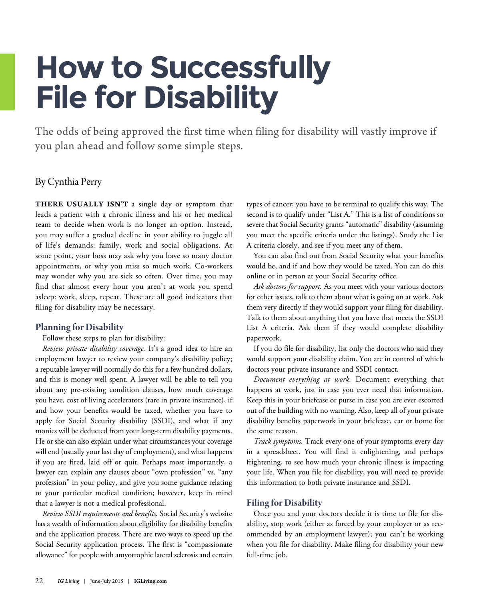# **How to Successfully File for Disability**

The odds of being approved the first time when filing for disability will vastly improve if you plan ahead and follow some simple steps.

### By Cynthia Perry

**THERE USUALLY ISN'T** a single day or symptom that leads a patient with a chronic illness and his or her medical team to decide when work is no longer an option. Instead, you may suffer a gradual decline in your ability to juggle all of life's demands: family, work and social obligations. At some point, your boss may ask why you have so many doctor appointments, or why you miss so much work. Co-workers may wonder why you are sick so often. Over time, you may find that almost every hour you aren't at work you spend asleep: work, sleep, repeat. These are all good indicators that filing for disability may be necessary.

#### **Planning** for Disability

#### Follow these steps to plan for disability:

*Review private disability coverage.* It's a good idea to hire an employment lawyer to review your company's disability policy; a reputable lawyer will normally do this for a few hundred dollars, and this is money well spent. A lawyer will be able to tell you about any pre-existing condition clauses, how much coverage you have, cost of living accelerators (rare in private insurance), if and how your benefits would be taxed, whether you have to apply for Social Security disability (SSDI), and what if any monies will be deducted from your long-term disability payments. He or she can also explain under what circumstances your coverage will end (usually your last day of employment), and what happens if you are fired, laid off or quit. Perhaps most importantly, a lawyer can explain any clauses about "own profession" vs. "any profession" in your policy, and give you some guidance relating to your particular medical condition; however, keep in mind that a lawyer is not a medical professional.

*Review SSDI requirements and benefits.* Social Security's website has a wealth of information about eligibility for disability benefits and the application process. There are two ways to speed up the Social Security application process. The first is "compassionate allowance" for people with amyotrophic lateral sclerosis and certain

types of cancer; you have to be terminal to qualify this way. The second is to qualify under "List A." This is a list of conditions so severe that Social Security grants "automatic" disability (assuming you meet the specific criteria under the listings). Study the List A criteria closely, and see if you meet any of them.

You can also find out from Social Security what your benefits would be, and if and how they would be taxed. You can do this online or in person at your Social Security office.

*Ask doctors for support.* As you meet with your various doctors for other issues, talk to them about what is going on at work. Ask them very directly if they would support your filing for disability. Talk to them about anything that you have that meets the SSDI List A criteria. Ask them if they would complete disability paperwork.

If you do file for disability, list only the doctors who said they would support your disability claim. You are in control of which doctors your private insurance and SSDI contact.

*Document everything at work.* Document everything that happens at work, just in case you ever need that information. Keep this in your briefcase or purse in case you are ever escorted out of the building with no warning. Also, keep all of your private disability benefits paperwork in your briefcase, car or home for the same reason.

*Track symptoms.* Track every one of your symptoms every day in a spreadsheet. You will find it enlightening, and perhaps frightening, to see how much your chronic illness is impacting your life. When you file for disability, you will need to provide this information to both private insurance and SSDI.

#### **Filing** for Disability

Once you and your doctors decide it is time to file for disability, stop work (either as forced by your employer or as recommended by an employment lawyer); you can't be working when you file for disability. Make filing for disability your new full-time job.